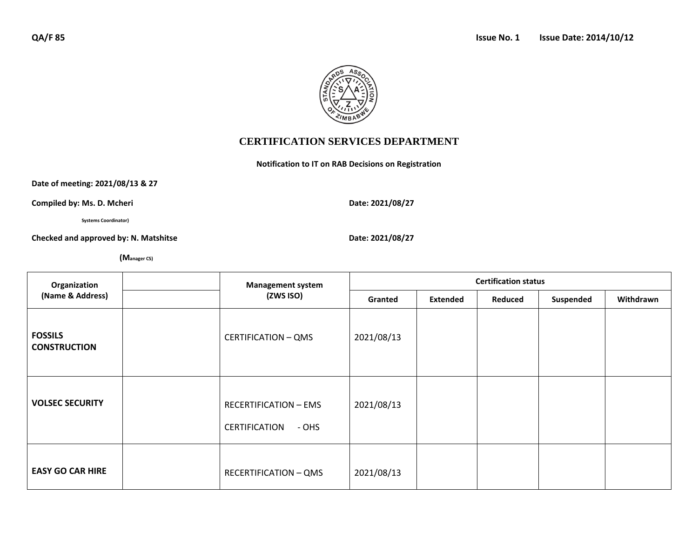

## **CERTIFICATION SERVICES DEPARTMENT**

**Notification to IT on RAB Decisions on Registration**

**Date of meeting: 2021/08/13 & 27**

**Compiled by: Ms. D. Mcheri Date: 2021/08/27** 

 **Systems Coordinator)**

Checked and approved by: N. Matshitse **Date:** 2021/08/27

 **(Manager CS)**

| Organization<br>(Name & Address)      |  | <b>Management system</b><br>(ZWS ISO)                  | <b>Certification status</b> |                 |         |           |           |  |
|---------------------------------------|--|--------------------------------------------------------|-----------------------------|-----------------|---------|-----------|-----------|--|
|                                       |  |                                                        | Granted                     | <b>Extended</b> | Reduced | Suspended | Withdrawn |  |
| <b>FOSSILS</b><br><b>CONSTRUCTION</b> |  | <b>CERTIFICATION - QMS</b>                             | 2021/08/13                  |                 |         |           |           |  |
| <b>VOLSEC SECURITY</b>                |  | <b>RECERTIFICATION - EMS</b><br>CERTIFICATION<br>- OHS | 2021/08/13                  |                 |         |           |           |  |
| <b>EASY GO CAR HIRE</b>               |  | <b>RECERTIFICATION - QMS</b>                           | 2021/08/13                  |                 |         |           |           |  |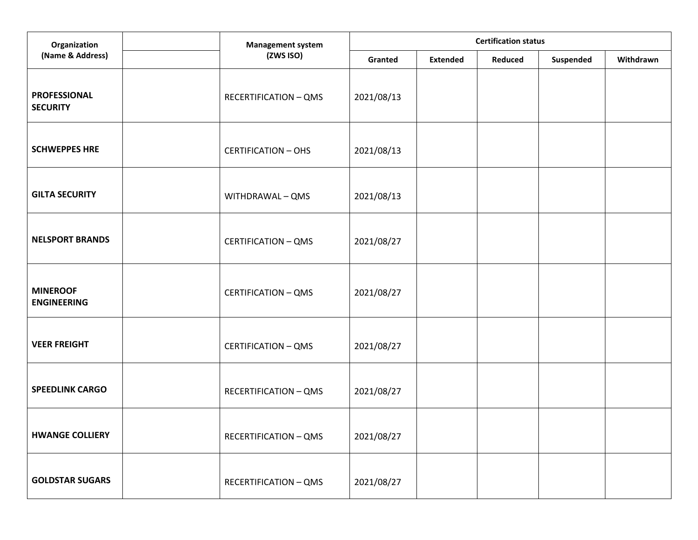| Organization                           | <b>Management system</b><br>(ZWS ISO) | <b>Certification status</b> |                 |         |           |           |  |
|----------------------------------------|---------------------------------------|-----------------------------|-----------------|---------|-----------|-----------|--|
| (Name & Address)                       |                                       | Granted                     | <b>Extended</b> | Reduced | Suspended | Withdrawn |  |
| <b>PROFESSIONAL</b><br><b>SECURITY</b> | <b>RECERTIFICATION - QMS</b>          | 2021/08/13                  |                 |         |           |           |  |
| <b>SCHWEPPES HRE</b>                   | <b>CERTIFICATION - OHS</b>            | 2021/08/13                  |                 |         |           |           |  |
| <b>GILTA SECURITY</b>                  | WITHDRAWAL - QMS                      | 2021/08/13                  |                 |         |           |           |  |
| <b>NELSPORT BRANDS</b>                 | <b>CERTIFICATION - QMS</b>            | 2021/08/27                  |                 |         |           |           |  |
| <b>MINEROOF</b><br><b>ENGINEERING</b>  | <b>CERTIFICATION - QMS</b>            | 2021/08/27                  |                 |         |           |           |  |
| <b>VEER FREIGHT</b>                    | <b>CERTIFICATION - QMS</b>            | 2021/08/27                  |                 |         |           |           |  |
| <b>SPEEDLINK CARGO</b>                 | <b>RECERTIFICATION - QMS</b>          | 2021/08/27                  |                 |         |           |           |  |
| <b>HWANGE COLLIERY</b>                 | <b>RECERTIFICATION - QMS</b>          | 2021/08/27                  |                 |         |           |           |  |
| <b>GOLDSTAR SUGARS</b>                 | <b>RECERTIFICATION - QMS</b>          | 2021/08/27                  |                 |         |           |           |  |